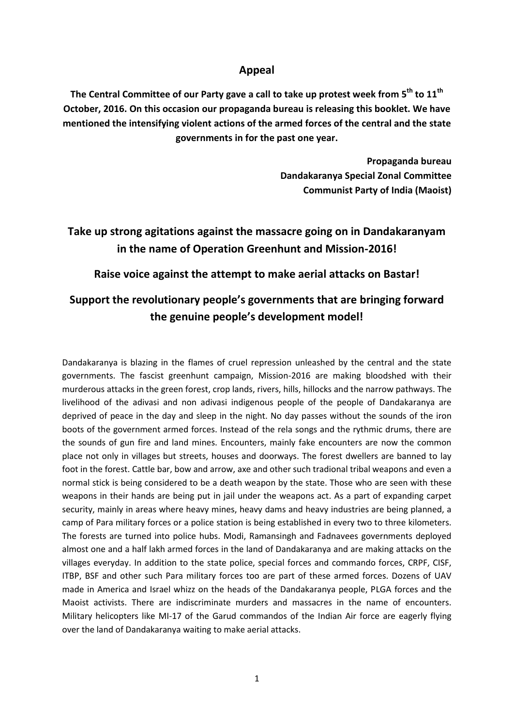# **Appeal**

The Central Committee of our Party gave a call to take up protest week from 5<sup>th</sup> to  $11^{\text{th}}$ **October, 2016. On this occasion our propaganda bureau is releasing this booklet. We have mentioned the intensifying violent actions of the armed forces of the central and the state governments in for the past one year.**

> **Propaganda bureau Dandakaranya Special Zonal Committee Communist Party of India (Maoist)**

# **Take up strong agitations against the massacre going on in Dandakaranyam in the name of Operation Greenhunt and Mission-2016!**

# **Raise voice against the attempt to make aerial attacks on Bastar!**

# **Support the revolutionary people's governments that are bringing forward the genuine people's development model!**

Dandakaranya is blazing in the flames of cruel repression unleashed by the central and the state governments. The fascist greenhunt campaign, Mission-2016 are making bloodshed with their murderous attacks in the green forest, crop lands, rivers, hills, hillocks and the narrow pathways. The livelihood of the adivasi and non adivasi indigenous people of the people of Dandakaranya are deprived of peace in the day and sleep in the night. No day passes without the sounds of the iron boots of the government armed forces. Instead of the rela songs and the rythmic drums, there are the sounds of gun fire and land mines. Encounters, mainly fake encounters are now the common place not only in villages but streets, houses and doorways. The forest dwellers are banned to lay foot in the forest. Cattle bar, bow and arrow, axe and other such tradional tribal weapons and even a normal stick is being considered to be a death weapon by the state. Those who are seen with these weapons in their hands are being put in jail under the weapons act. As a part of expanding carpet security, mainly in areas where heavy mines, heavy dams and heavy industries are being planned, a camp of Para military forces or a police station is being established in every two to three kilometers. The forests are turned into police hubs. Modi, Ramansingh and Fadnavees governments deployed almost one and a half lakh armed forces in the land of Dandakaranya and are making attacks on the villages everyday. In addition to the state police, special forces and commando forces, CRPF, CISF, ITBP, BSF and other such Para military forces too are part of these armed forces. Dozens of UAV made in America and Israel whizz on the heads of the Dandakaranya people, PLGA forces and the Maoist activists. There are indiscriminate murders and massacres in the name of encounters. Military helicopters like MI-17 of the Garud commandos of the Indian Air force are eagerly flying over the land of Dandakaranya waiting to make aerial attacks.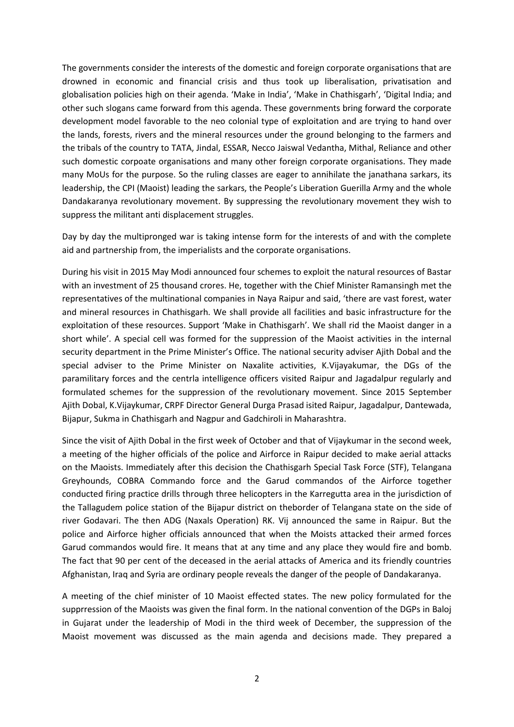The governments consider the interests of the domestic and foreign corporate organisations that are drowned in economic and financial crisis and thus took up liberalisation, privatisation and globalisation policies high on their agenda. 'Make in India', 'Make in Chathisgarh', 'Digital India; and other such slogans came forward from this agenda. These governments bring forward the corporate development model favorable to the neo colonial type of exploitation and are trying to hand over the lands, forests, rivers and the mineral resources under the ground belonging to the farmers and the tribals of the country to TATA, Jindal, ESSAR, Necco Jaiswal Vedantha, Mithal, Reliance and other such domestic corpoate organisations and many other foreign corporate organisations. They made many MoUs for the purpose. So the ruling classes are eager to annihilate the janathana sarkars, its leadership, the CPI (Maoist) leading the sarkars, the People's Liberation Guerilla Army and the whole Dandakaranya revolutionary movement. By suppressing the revolutionary movement they wish to suppress the militant anti displacement struggles.

Day by day the multipronged war is taking intense form for the interests of and with the complete aid and partnership from, the imperialists and the corporate organisations.

During his visit in 2015 May Modi announced four schemes to exploit the natural resources of Bastar with an investment of 25 thousand crores. He, together with the Chief Minister Ramansingh met the representatives of the multinational companies in Naya Raipur and said, 'there are vast forest, water and mineral resources in Chathisgarh. We shall provide all facilities and basic infrastructure for the exploitation of these resources. Support 'Make in Chathisgarh'. We shall rid the Maoist danger in a short while'. A special cell was formed for the suppression of the Maoist activities in the internal security department in the Prime Minister's Office. The national security adviser Ajith Dobal and the special adviser to the Prime Minister on Naxalite activities, K.Vijayakumar, the DGs of the paramilitary forces and the centrla intelligence officers visited Raipur and Jagadalpur regularly and formulated schemes for the suppression of the revolutionary movement. Since 2015 September Ajith Dobal, K.Vijaykumar, CRPF Director General Durga Prasad isited Raipur, Jagadalpur, Dantewada, Bijapur, Sukma in Chathisgarh and Nagpur and Gadchiroli in Maharashtra.

Since the visit of Ajith Dobal in the first week of October and that of Vijaykumar in the second week, a meeting of the higher officials of the police and Airforce in Raipur decided to make aerial attacks on the Maoists. Immediately after this decision the Chathisgarh Special Task Force (STF), Telangana Greyhounds, COBRA Commando force and the Garud commandos of the Airforce together conducted firing practice drills through three helicopters in the Karregutta area in the jurisdiction of the Tallagudem police station of the Bijapur district on theborder of Telangana state on the side of river Godavari. The then ADG (Naxals Operation) RK. Vij announced the same in Raipur. But the police and Airforce higher officials announced that when the Moists attacked their armed forces Garud commandos would fire. It means that at any time and any place they would fire and bomb. The fact that 90 per cent of the deceased in the aerial attacks of America and its friendly countries Afghanistan, Iraq and Syria are ordinary people reveals the danger of the people of Dandakaranya.

A meeting of the chief minister of 10 Maoist effected states. The new policy formulated for the supprression of the Maoists was given the final form. In the national convention of the DGPs in Baloj in Gujarat under the leadership of Modi in the third week of December, the suppression of the Maoist movement was discussed as the main agenda and decisions made. They prepared a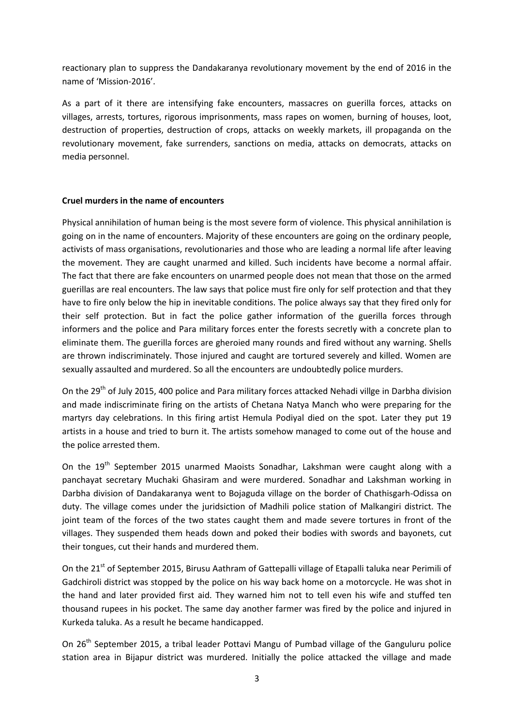reactionary plan to suppress the Dandakaranya revolutionary movement by the end of 2016 in the name of 'Mission-2016'.

As a part of it there are intensifying fake encounters, massacres on guerilla forces, attacks on villages, arrests, tortures, rigorous imprisonments, mass rapes on women, burning of houses, loot, destruction of properties, destruction of crops, attacks on weekly markets, ill propaganda on the revolutionary movement, fake surrenders, sanctions on media, attacks on democrats, attacks on media personnel.

## **Cruel murders in the name of encounters**

Physical annihilation of human being is the most severe form of violence. This physical annihilation is going on in the name of encounters. Majority of these encounters are going on the ordinary people, activists of mass organisations, revolutionaries and those who are leading a normal life after leaving the movement. They are caught unarmed and killed. Such incidents have become a normal affair. The fact that there are fake encounters on unarmed people does not mean that those on the armed guerillas are real encounters. The law says that police must fire only for self protection and that they have to fire only below the hip in inevitable conditions. The police always say that they fired only for their self protection. But in fact the police gather information of the guerilla forces through informers and the police and Para military forces enter the forests secretly with a concrete plan to eliminate them. The guerilla forces are gheroied many rounds and fired without any warning. Shells are thrown indiscriminately. Those injured and caught are tortured severely and killed. Women are sexually assaulted and murdered. So all the encounters are undoubtedly police murders.

On the 29<sup>th</sup> of July 2015, 400 police and Para military forces attacked Nehadi villge in Darbha division and made indiscriminate firing on the artists of Chetana Natya Manch who were preparing for the martyrs day celebrations. In this firing artist Hemula Podiyal died on the spot. Later they put 19 artists in a house and tried to burn it. The artists somehow managed to come out of the house and the police arrested them.

On the 19<sup>th</sup> September 2015 unarmed Maoists Sonadhar, Lakshman were caught along with a panchayat secretary Muchaki Ghasiram and were murdered. Sonadhar and Lakshman working in Darbha division of Dandakaranya went to Bojaguda village on the border of Chathisgarh-Odissa on duty. The village comes under the juridsiction of Madhili police station of Malkangiri district. The joint team of the forces of the two states caught them and made severe tortures in front of the villages. They suspended them heads down and poked their bodies with swords and bayonets, cut their tongues, cut their hands and murdered them.

On the 21<sup>st</sup> of September 2015, Birusu Aathram of Gattepalli village of Etapalli taluka near Perimili of Gadchiroli district was stopped by the police on his way back home on a motorcycle. He was shot in the hand and later provided first aid. They warned him not to tell even his wife and stuffed ten thousand rupees in his pocket. The same day another farmer was fired by the police and injured in Kurkeda taluka. As a result he became handicapped.

On 26<sup>th</sup> September 2015, a tribal leader Pottavi Mangu of Pumbad village of the Ganguluru police station area in Bijapur district was murdered. Initially the police attacked the village and made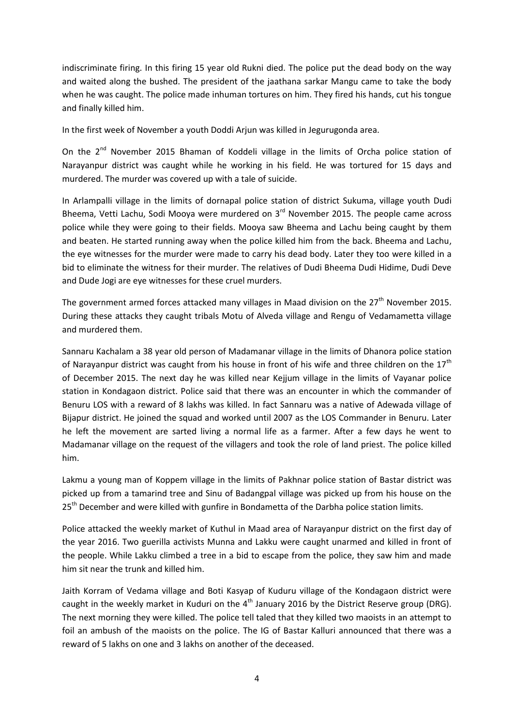indiscriminate firing. In this firing 15 year old Rukni died. The police put the dead body on the way and waited along the bushed. The president of the jaathana sarkar Mangu came to take the body when he was caught. The police made inhuman tortures on him. They fired his hands, cut his tongue and finally killed him.

In the first week of November a youth Doddi Arjun was killed in Jegurugonda area.

On the  $2^{nd}$  November 2015 Bhaman of Koddeli village in the limits of Orcha police station of Narayanpur district was caught while he working in his field. He was tortured for 15 days and murdered. The murder was covered up with a tale of suicide.

In Arlampalli village in the limits of dornapal police station of district Sukuma, village youth Dudi Bheema, Vetti Lachu, Sodi Mooya were murdered on  $3<sup>rd</sup>$  November 2015. The people came across police while they were going to their fields. Mooya saw Bheema and Lachu being caught by them and beaten. He started running away when the police killed him from the back. Bheema and Lachu, the eye witnesses for the murder were made to carry his dead body. Later they too were killed in a bid to eliminate the witness for their murder. The relatives of Dudi Bheema Dudi Hidime, Dudi Deve and Dude Jogi are eye witnesses for these cruel murders.

The government armed forces attacked many villages in Maad division on the  $27<sup>th</sup>$  November 2015. During these attacks they caught tribals Motu of Alveda village and Rengu of Vedamametta village and murdered them.

Sannaru Kachalam a 38 year old person of Madamanar village in the limits of Dhanora police station of Narayanpur district was caught from his house in front of his wife and three children on the  $17<sup>th</sup>$ of December 2015. The next day he was killed near Kejjum village in the limits of Vayanar police station in Kondagaon district. Police said that there was an encounter in which the commander of Benuru LOS with a reward of 8 lakhs was killed. In fact Sannaru was a native of Adewada village of Bijapur district. He joined the squad and worked until 2007 as the LOS Commander in Benuru. Later he left the movement are sarted living a normal life as a farmer. After a few days he went to Madamanar village on the request of the villagers and took the role of land priest. The police killed him.

Lakmu a young man of Koppem village in the limits of Pakhnar police station of Bastar district was picked up from a tamarind tree and Sinu of Badangpal village was picked up from his house on the 25<sup>th</sup> December and were killed with gunfire in Bondametta of the Darbha police station limits.

Police attacked the weekly market of Kuthul in Maad area of Narayanpur district on the first day of the year 2016. Two guerilla activists Munna and Lakku were caught unarmed and killed in front of the people. While Lakku climbed a tree in a bid to escape from the police, they saw him and made him sit near the trunk and killed him.

Jaith Korram of Vedama village and Boti Kasyap of Kuduru village of the Kondagaon district were caught in the weekly market in Kuduri on the  $4<sup>th</sup>$  January 2016 by the District Reserve group (DRG). The next morning they were killed. The police tell taled that they killed two maoists in an attempt to foil an ambush of the maoists on the police. The IG of Bastar Kalluri announced that there was a reward of 5 lakhs on one and 3 lakhs on another of the deceased.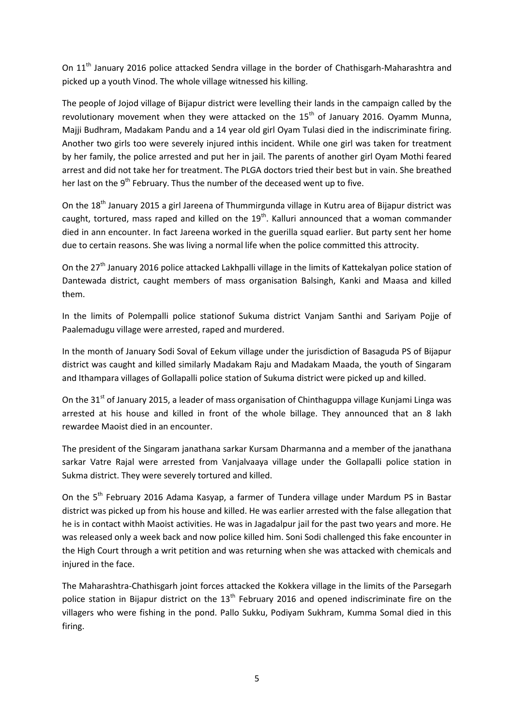On 11<sup>th</sup> January 2016 police attacked Sendra village in the border of Chathisgarh-Maharashtra and picked up a youth Vinod. The whole village witnessed his killing.

The people of Jojod village of Bijapur district were levelling their lands in the campaign called by the revolutionary movement when they were attacked on the  $15<sup>th</sup>$  of January 2016. Oyamm Munna, Majji Budhram, Madakam Pandu and a 14 year old girl Oyam Tulasi died in the indiscriminate firing. Another two girls too were severely injured inthis incident. While one girl was taken for treatment by her family, the police arrested and put her in jail. The parents of another girl Oyam Mothi feared arrest and did not take her for treatment. The PLGA doctors tried their best but in vain. She breathed her last on the 9<sup>th</sup> February. Thus the number of the deceased went up to five.

On the 18<sup>th</sup> January 2015 a girl Jareena of Thummirgunda village in Kutru area of Bijapur district was caught, tortured, mass raped and killed on the  $19<sup>th</sup>$ . Kalluri announced that a woman commander died in ann encounter. In fact Jareena worked in the guerilla squad earlier. But party sent her home due to certain reasons. She was living a normal life when the police committed this attrocity.

On the 27<sup>th</sup> January 2016 police attacked Lakhpalli village in the limits of Kattekalyan police station of Dantewada district, caught members of mass organisation Balsingh, Kanki and Maasa and killed them.

In the limits of Polempalli police stationof Sukuma district Vanjam Santhi and Sariyam Pojje of Paalemadugu village were arrested, raped and murdered.

In the month of January Sodi Soval of Eekum village under the jurisdiction of Basaguda PS of Bijapur district was caught and killed similarly Madakam Raju and Madakam Maada, the youth of Singaram and Ithampara villages of Gollapalli police station of Sukuma district were picked up and killed.

On the 31 $^{\text{st}}$  of January 2015, a leader of mass organisation of Chinthaguppa village Kunjami Linga was arrested at his house and killed in front of the whole billage. They announced that an 8 lakh rewardee Maoist died in an encounter.

The president of the Singaram janathana sarkar Kursam Dharmanna and a member of the janathana sarkar Vatre Rajal were arrested from Vanjalvaaya village under the Gollapalli police station in Sukma district. They were severely tortured and killed.

On the 5<sup>th</sup> February 2016 Adama Kasyap, a farmer of Tundera village under Mardum PS in Bastar district was picked up from his house and killed. He was earlier arrested with the false allegation that he is in contact withh Maoist activities. He was in Jagadalpur jail for the past two years and more. He was released only a week back and now police killed him. Soni Sodi challenged this fake encounter in the High Court through a writ petition and was returning when she was attacked with chemicals and injured in the face.

The Maharashtra-Chathisgarh joint forces attacked the Kokkera village in the limits of the Parsegarh police station in Bijapur district on the 13<sup>th</sup> February 2016 and opened indiscriminate fire on the villagers who were fishing in the pond. Pallo Sukku, Podiyam Sukhram, Kumma Somal died in this firing.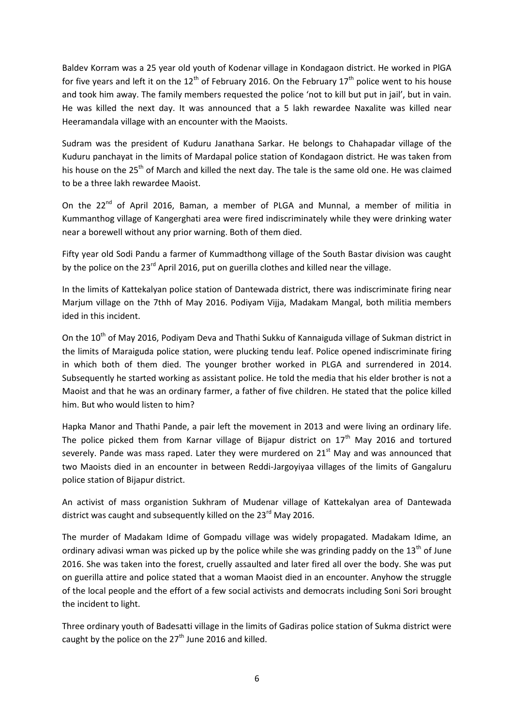Baldev Korram was a 25 year old youth of Kodenar village in Kondagaon district. He worked in PlGA for five years and left it on the  $12<sup>th</sup>$  of February 2016. On the February  $17<sup>th</sup>$  police went to his house and took him away. The family members requested the police 'not to kill but put in jail', but in vain. He was killed the next day. It was announced that a 5 lakh rewardee Naxalite was killed near Heeramandala village with an encounter with the Maoists.

Sudram was the president of Kuduru Janathana Sarkar. He belongs to Chahapadar village of the Kuduru panchayat in the limits of Mardapal police station of Kondagaon district. He was taken from his house on the 25<sup>th</sup> of March and killed the next day. The tale is the same old one. He was claimed to be a three lakh rewardee Maoist.

On the 22<sup>nd</sup> of April 2016, Baman, a member of PLGA and Munnal, a member of militia in Kummanthog village of Kangerghati area were fired indiscriminately while they were drinking water near a borewell without any prior warning. Both of them died.

Fifty year old Sodi Pandu a farmer of Kummadthong village of the South Bastar division was caught by the police on the 23<sup>rd</sup> April 2016, put on guerilla clothes and killed near the village.

In the limits of Kattekalyan police station of Dantewada district, there was indiscriminate firing near Marjum village on the 7thh of May 2016. Podiyam Vijja, Madakam Mangal, both militia members ided in this incident.

On the 10<sup>th</sup> of May 2016, Podiyam Deva and Thathi Sukku of Kannaiguda village of Sukman district in the limits of Maraiguda police station, were plucking tendu leaf. Police opened indiscriminate firing in which both of them died. The younger brother worked in PLGA and surrendered in 2014. Subsequently he started working as assistant police. He told the media that his elder brother is not a Maoist and that he was an ordinary farmer, a father of five children. He stated that the police killed him. But who would listen to him?

Hapka Manor and Thathi Pande, a pair left the movement in 2013 and were living an ordinary life. The police picked them from Karnar village of Bijapur district on  $17<sup>th</sup>$  May 2016 and tortured severely. Pande was mass raped. Later they were murdered on  $21<sup>st</sup>$  May and was announced that two Maoists died in an encounter in between Reddi-Jargoyiyaa villages of the limits of Gangaluru police station of Bijapur district.

An activist of mass organistion Sukhram of Mudenar village of Kattekalyan area of Dantewada district was caught and subsequently killed on the  $23<sup>rd</sup>$  May 2016.

The murder of Madakam Idime of Gompadu village was widely propagated. Madakam Idime, an ordinary adivasi wman was picked up by the police while she was grinding paddy on the  $13<sup>th</sup>$  of June 2016. She was taken into the forest, cruelly assaulted and later fired all over the body. She was put on guerilla attire and police stated that a woman Maoist died in an encounter. Anyhow the struggle of the local people and the effort of a few social activists and democrats including Soni Sori brought the incident to light.

Three ordinary youth of Badesatti village in the limits of Gadiras police station of Sukma district were caught by the police on the  $27<sup>th</sup>$  June 2016 and killed.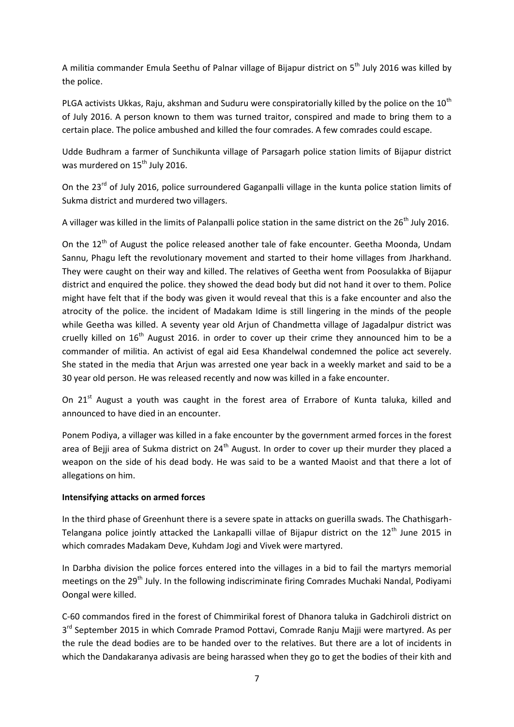A militia commander Emula Seethu of Palnar village of Bijapur district on 5<sup>th</sup> July 2016 was killed by the police.

PLGA activists Ukkas, Raju, akshman and Suduru were conspiratorially killed by the police on the 10<sup>th</sup> of July 2016. A person known to them was turned traitor, conspired and made to bring them to a certain place. The police ambushed and killed the four comrades. A few comrades could escape.

Udde Budhram a farmer of Sunchikunta village of Parsagarh police station limits of Bijapur district was murdered on 15<sup>th</sup> July 2016.

On the 23<sup>rd</sup> of July 2016, police surroundered Gaganpalli village in the kunta police station limits of Sukma district and murdered two villagers.

A villager was killed in the limits of Palanpalli police station in the same district on the 26<sup>th</sup> July 2016.

On the  $12<sup>th</sup>$  of August the police released another tale of fake encounter. Geetha Moonda, Undam Sannu, Phagu left the revolutionary movement and started to their home villages from Jharkhand. They were caught on their way and killed. The relatives of Geetha went from Poosulakka of Bijapur district and enquired the police. they showed the dead body but did not hand it over to them. Police might have felt that if the body was given it would reveal that this is a fake encounter and also the atrocity of the police. the incident of Madakam Idime is still lingering in the minds of the people while Geetha was killed. A seventy year old Arjun of Chandmetta village of Jagadalpur district was cruelly killed on  $16<sup>th</sup>$  August 2016. in order to cover up their crime they announced him to be a commander of militia. An activist of egal aid Eesa Khandelwal condemned the police act severely. She stated in the media that Arjun was arrested one year back in a weekly market and said to be a 30 year old person. He was released recently and now was killed in a fake encounter.

On 21<sup>st</sup> August a youth was caught in the forest area of Errabore of Kunta taluka, killed and announced to have died in an encounter.

Ponem Podiya, a villager was killed in a fake encounter by the government armed forces in the forest area of Bejji area of Sukma district on 24<sup>th</sup> August. In order to cover up their murder they placed a weapon on the side of his dead body. He was said to be a wanted Maoist and that there a lot of allegations on him.

# **Intensifying attacks on armed forces**

In the third phase of Greenhunt there is a severe spate in attacks on guerilla swads. The Chathisgarh-Telangana police jointly attacked the Lankapalli villae of Bijapur district on the 12<sup>th</sup> June 2015 in which comrades Madakam Deve, Kuhdam Jogi and Vivek were martyred.

In Darbha division the police forces entered into the villages in a bid to fail the martyrs memorial meetings on the 29<sup>th</sup> July. In the following indiscriminate firing Comrades Muchaki Nandal, Podiyami Oongal were killed.

C-60 commandos fired in the forest of Chimmirikal forest of Dhanora taluka in Gadchiroli district on 3<sup>rd</sup> September 2015 in which Comrade Pramod Pottavi, Comrade Ranju Majji were martyred. As per the rule the dead bodies are to be handed over to the relatives. But there are a lot of incidents in which the Dandakaranya adivasis are being harassed when they go to get the bodies of their kith and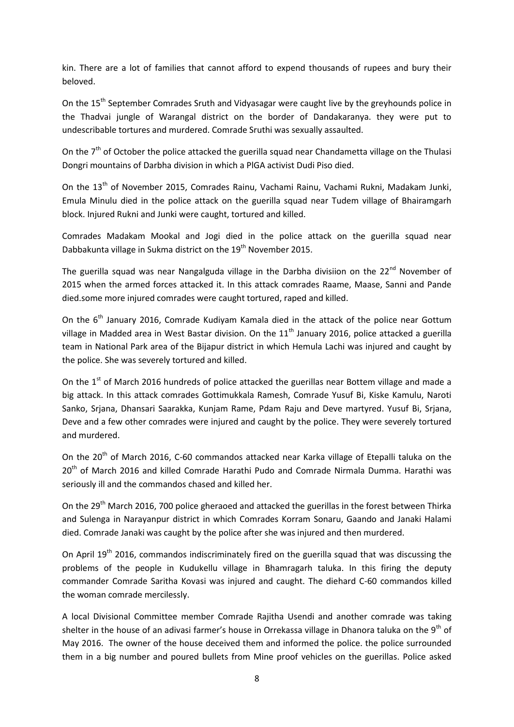kin. There are a lot of families that cannot afford to expend thousands of rupees and bury their beloved.

On the 15<sup>th</sup> September Comrades Sruth and Vidyasagar were caught live by the greyhounds police in the Thadvai jungle of Warangal district on the border of Dandakaranya. they were put to undescribable tortures and murdered. Comrade Sruthi was sexually assaulted.

On the  $7<sup>th</sup>$  of October the police attacked the guerilla squad near Chandametta village on the Thulasi Dongri mountains of Darbha division in which a PlGA activist Dudi Piso died.

On the 13<sup>th</sup> of November 2015, Comrades Rainu, Vachami Rainu, Vachami Rukni, Madakam Junki, Emula Minulu died in the police attack on the guerilla squad near Tudem village of Bhairamgarh block. Injured Rukni and Junki were caught, tortured and killed.

Comrades Madakam Mookal and Jogi died in the police attack on the guerilla squad near Dabbakunta village in Sukma district on the 19<sup>th</sup> November 2015.

The guerilla squad was near Nangalguda village in the Darbha divisiion on the 22<sup>nd</sup> November of 2015 when the armed forces attacked it. In this attack comrades Raame, Maase, Sanni and Pande died.some more injured comrades were caught tortured, raped and killed.

On the 6<sup>th</sup> January 2016, Comrade Kudiyam Kamala died in the attack of the police near Gottum village in Madded area in West Bastar division. On the  $11<sup>th</sup>$  January 2016, police attacked a guerilla team in National Park area of the Bijapur district in which Hemula Lachi was injured and caught by the police. She was severely tortured and killed.

On the 1<sup>st</sup> of March 2016 hundreds of police attacked the guerillas near Bottem village and made a big attack. In this attack comrades Gottimukkala Ramesh, Comrade Yusuf Bi, Kiske Kamulu, Naroti Sanko, Srjana, Dhansari Saarakka, Kunjam Rame, Pdam Raju and Deve martyred. Yusuf Bi, Srjana, Deve and a few other comrades were injured and caught by the police. They were severely tortured and murdered.

On the 20<sup>th</sup> of March 2016, C-60 commandos attacked near Karka village of Etepalli taluka on the 20<sup>th</sup> of March 2016 and killed Comrade Harathi Pudo and Comrade Nirmala Dumma. Harathi was seriously ill and the commandos chased and killed her.

On the 29<sup>th</sup> March 2016, 700 police gheraoed and attacked the guerillas in the forest between Thirka and Sulenga in Narayanpur district in which Comrades Korram Sonaru, Gaando and Janaki Halami died. Comrade Janaki was caught by the police after she was injured and then murdered.

On April 19<sup>th</sup> 2016, commandos indiscriminately fired on the guerilla squad that was discussing the problems of the people in Kudukellu village in Bhamragarh taluka. In this firing the deputy commander Comrade Saritha Kovasi was injured and caught. The diehard C-60 commandos killed the woman comrade mercilessly.

A local Divisional Committee member Comrade Rajitha Usendi and another comrade was taking shelter in the house of an adivasi farmer's house in Orrekassa village in Dhanora taluka on the 9<sup>th</sup> of May 2016. The owner of the house deceived them and informed the police. the police surrounded them in a big number and poured bullets from Mine proof vehicles on the guerillas. Police asked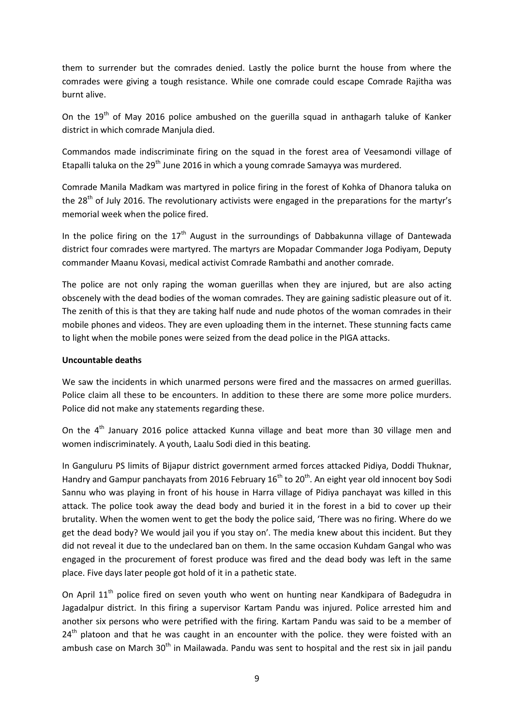them to surrender but the comrades denied. Lastly the police burnt the house from where the comrades were giving a tough resistance. While one comrade could escape Comrade Rajitha was burnt alive.

On the 19<sup>th</sup> of May 2016 police ambushed on the guerilla squad in anthagarh taluke of Kanker district in which comrade Manjula died.

Commandos made indiscriminate firing on the squad in the forest area of Veesamondi village of Etapalli taluka on the 29<sup>th</sup> June 2016 in which a young comrade Samayya was murdered.

Comrade Manila Madkam was martyred in police firing in the forest of Kohka of Dhanora taluka on the 28<sup>th</sup> of July 2016. The revolutionary activists were engaged in the preparations for the martyr's memorial week when the police fired.

In the police firing on the  $17<sup>th</sup>$  August in the surroundings of Dabbakunna village of Dantewada district four comrades were martyred. The martyrs are Mopadar Commander Joga Podiyam, Deputy commander Maanu Kovasi, medical activist Comrade Rambathi and another comrade.

The police are not only raping the woman guerillas when they are injured, but are also acting obscenely with the dead bodies of the woman comrades. They are gaining sadistic pleasure out of it. The zenith of this is that they are taking half nude and nude photos of the woman comrades in their mobile phones and videos. They are even uploading them in the internet. These stunning facts came to light when the mobile pones were seized from the dead police in the PlGA attacks.

## **Uncountable deaths**

We saw the incidents in which unarmed persons were fired and the massacres on armed guerillas. Police claim all these to be encounters. In addition to these there are some more police murders. Police did not make any statements regarding these.

On the 4<sup>th</sup> January 2016 police attacked Kunna village and beat more than 30 village men and women indiscriminately. A youth, Laalu Sodi died in this beating.

In Ganguluru PS limits of Bijapur district government armed forces attacked Pidiya, Doddi Thuknar, Handry and Gampur panchayats from 2016 February  $16<sup>th</sup>$  to  $20<sup>th</sup>$ . An eight year old innocent boy Sodi Sannu who was playing in front of his house in Harra village of Pidiya panchayat was killed in this attack. The police took away the dead body and buried it in the forest in a bid to cover up their brutality. When the women went to get the body the police said, 'There was no firing. Where do we get the dead body? We would jail you if you stay on'. The media knew about this incident. But they did not reveal it due to the undeclared ban on them. In the same occasion Kuhdam Gangal who was engaged in the procurement of forest produce was fired and the dead body was left in the same place. Five days later people got hold of it in a pathetic state.

On April 11<sup>th</sup> police fired on seven youth who went on hunting near Kandkipara of Badegudra in Jagadalpur district. In this firing a supervisor Kartam Pandu was injured. Police arrested him and another six persons who were petrified with the firing. Kartam Pandu was said to be a member of 24<sup>th</sup> platoon and that he was caught in an encounter with the police. they were foisted with an ambush case on March  $30<sup>th</sup>$  in Mailawada. Pandu was sent to hospital and the rest six in jail pandu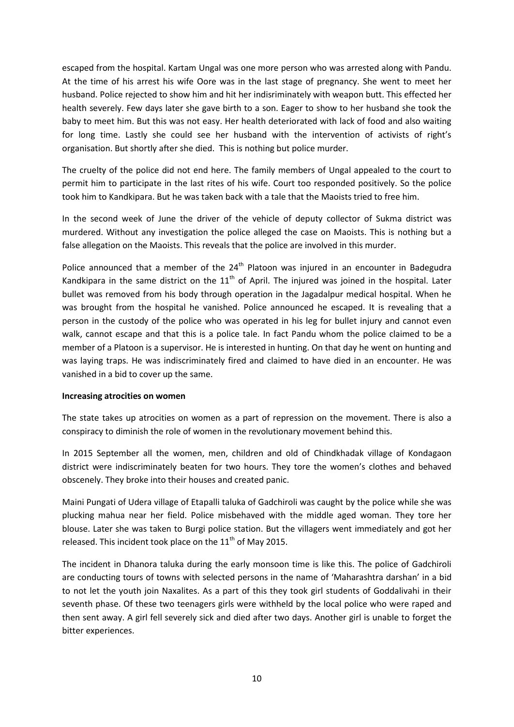escaped from the hospital. Kartam Ungal was one more person who was arrested along with Pandu. At the time of his arrest his wife Oore was in the last stage of pregnancy. She went to meet her husband. Police rejected to show him and hit her indisriminately with weapon butt. This effected her health severely. Few days later she gave birth to a son. Eager to show to her husband she took the baby to meet him. But this was not easy. Her health deteriorated with lack of food and also waiting for long time. Lastly she could see her husband with the intervention of activists of right's organisation. But shortly after she died. This is nothing but police murder.

The cruelty of the police did not end here. The family members of Ungal appealed to the court to permit him to participate in the last rites of his wife. Court too responded positively. So the police took him to Kandkipara. But he was taken back with a tale that the Maoists tried to free him.

In the second week of June the driver of the vehicle of deputy collector of Sukma district was murdered. Without any investigation the police alleged the case on Maoists. This is nothing but a false allegation on the Maoists. This reveals that the police are involved in this murder.

Police announced that a member of the  $24<sup>th</sup>$  Platoon was injured in an encounter in Badegudra Kandkipara in the same district on the  $11<sup>th</sup>$  of April. The injured was joined in the hospital. Later bullet was removed from his body through operation in the Jagadalpur medical hospital. When he was brought from the hospital he vanished. Police announced he escaped. It is revealing that a person in the custody of the police who was operated in his leg for bullet injury and cannot even walk, cannot escape and that this is a police tale. In fact Pandu whom the police claimed to be a member of a Platoon is a supervisor. He is interested in hunting. On that day he went on hunting and was laying traps. He was indiscriminately fired and claimed to have died in an encounter. He was vanished in a bid to cover up the same.

## **Increasing atrocities on women**

The state takes up atrocities on women as a part of repression on the movement. There is also a conspiracy to diminish the role of women in the revolutionary movement behind this.

In 2015 September all the women, men, children and old of Chindkhadak village of Kondagaon district were indiscriminately beaten for two hours. They tore the women's clothes and behaved obscenely. They broke into their houses and created panic.

Maini Pungati of Udera village of Etapalli taluka of Gadchiroli was caught by the police while she was plucking mahua near her field. Police misbehaved with the middle aged woman. They tore her blouse. Later she was taken to Burgi police station. But the villagers went immediately and got her released. This incident took place on the  $11<sup>th</sup>$  of May 2015.

The incident in Dhanora taluka during the early monsoon time is like this. The police of Gadchiroli are conducting tours of towns with selected persons in the name of 'Maharashtra darshan' in a bid to not let the youth join Naxalites. As a part of this they took girl students of Goddalivahi in their seventh phase. Of these two teenagers girls were withheld by the local police who were raped and then sent away. A girl fell severely sick and died after two days. Another girl is unable to forget the bitter experiences.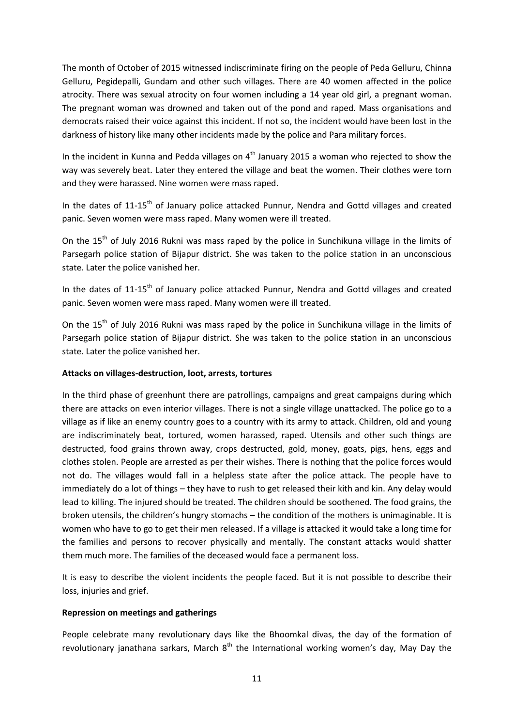The month of October of 2015 witnessed indiscriminate firing on the people of Peda Gelluru, Chinna Gelluru, Pegidepalli, Gundam and other such villages. There are 40 women affected in the police atrocity. There was sexual atrocity on four women including a 14 year old girl, a pregnant woman. The pregnant woman was drowned and taken out of the pond and raped. Mass organisations and democrats raised their voice against this incident. If not so, the incident would have been lost in the darkness of history like many other incidents made by the police and Para military forces.

In the incident in Kunna and Pedda villages on  $4<sup>th</sup>$  January 2015 a woman who rejected to show the way was severely beat. Later they entered the village and beat the women. Their clothes were torn and they were harassed. Nine women were mass raped.

In the dates of 11-15<sup>th</sup> of January police attacked Punnur, Nendra and Gottd villages and created panic. Seven women were mass raped. Many women were ill treated.

On the 15<sup>th</sup> of July 2016 Rukni was mass raped by the police in Sunchikuna village in the limits of Parsegarh police station of Bijapur district. She was taken to the police station in an unconscious state. Later the police vanished her.

In the dates of 11-15<sup>th</sup> of January police attacked Punnur, Nendra and Gottd villages and created panic. Seven women were mass raped. Many women were ill treated.

On the  $15<sup>th</sup>$  of July 2016 Rukni was mass raped by the police in Sunchikuna village in the limits of Parsegarh police station of Bijapur district. She was taken to the police station in an unconscious state. Later the police vanished her.

## **Attacks on villages-destruction, loot, arrests, tortures**

In the third phase of greenhunt there are patrollings, campaigns and great campaigns during which there are attacks on even interior villages. There is not a single village unattacked. The police go to a village as if like an enemy country goes to a country with its army to attack. Children, old and young are indiscriminately beat, tortured, women harassed, raped. Utensils and other such things are destructed, food grains thrown away, crops destructed, gold, money, goats, pigs, hens, eggs and clothes stolen. People are arrested as per their wishes. There is nothing that the police forces would not do. The villages would fall in a helpless state after the police attack. The people have to immediately do a lot of things – they have to rush to get released their kith and kin. Any delay would lead to killing. The injured should be treated. The children should be soothened. The food grains, the broken utensils, the children's hungry stomachs – the condition of the mothers is unimaginable. It is women who have to go to get their men released. If a village is attacked it would take a long time for the families and persons to recover physically and mentally. The constant attacks would shatter them much more. The families of the deceased would face a permanent loss.

It is easy to describe the violent incidents the people faced. But it is not possible to describe their loss, injuries and grief.

## **Repression on meetings and gatherings**

People celebrate many revolutionary days like the Bhoomkal divas, the day of the formation of revolutionary janathana sarkars, March  $8<sup>th</sup>$  the International working women's day, May Day the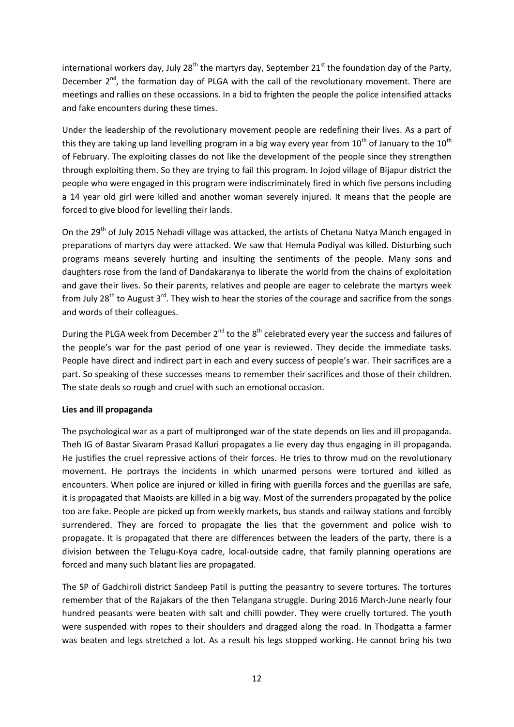international workers day, July 28<sup>th</sup> the martyrs day, September 21<sup>st</sup> the foundation day of the Party, December  $2^{nd}$ , the formation day of PLGA with the call of the revolutionary movement. There are meetings and rallies on these occassions. In a bid to frighten the people the police intensified attacks and fake encounters during these times.

Under the leadership of the revolutionary movement people are redefining their lives. As a part of this they are taking up land levelling program in a big way every year from  $10^{th}$  of January to the  $10^{th}$ of February. The exploiting classes do not like the development of the people since they strengthen through exploiting them. So they are trying to fail this program. In Jojod village of Bijapur district the people who were engaged in this program were indiscriminately fired in which five persons including a 14 year old girl were killed and another woman severely injured. It means that the people are forced to give blood for levelling their lands.

On the 29<sup>th</sup> of July 2015 Nehadi village was attacked, the artists of Chetana Natya Manch engaged in preparations of martyrs day were attacked. We saw that Hemula Podiyal was killed. Disturbing such programs means severely hurting and insulting the sentiments of the people. Many sons and daughters rose from the land of Dandakaranya to liberate the world from the chains of exploitation and gave their lives. So their parents, relatives and people are eager to celebrate the martyrs week from July 28<sup>th</sup> to August 3<sup>rd</sup>. They wish to hear the stories of the courage and sacrifice from the songs and words of their colleagues.

During the PLGA week from December  $2^{nd}$  to the  $8^{th}$  celebrated every year the success and failures of the people's war for the past period of one year is reviewed. They decide the immediate tasks. People have direct and indirect part in each and every success of people's war. Their sacrifices are a part. So speaking of these successes means to remember their sacrifices and those of their children. The state deals so rough and cruel with such an emotional occasion.

# **Lies and ill propaganda**

The psychological war as a part of multipronged war of the state depends on lies and ill propaganda. Theh IG of Bastar Sivaram Prasad Kalluri propagates a lie every day thus engaging in ill propaganda. He justifies the cruel repressive actions of their forces. He tries to throw mud on the revolutionary movement. He portrays the incidents in which unarmed persons were tortured and killed as encounters. When police are injured or killed in firing with guerilla forces and the guerillas are safe, it is propagated that Maoists are killed in a big way. Most of the surrenders propagated by the police too are fake. People are picked up from weekly markets, bus stands and railway stations and forcibly surrendered. They are forced to propagate the lies that the government and police wish to propagate. It is propagated that there are differences between the leaders of the party, there is a division between the Telugu-Koya cadre, local-outside cadre, that family planning operations are forced and many such blatant lies are propagated.

The SP of Gadchiroli district Sandeep Patil is putting the peasantry to severe tortures. The tortures remember that of the Rajakars of the then Telangana struggle. During 2016 March-June nearly four hundred peasants were beaten with salt and chilli powder. They were cruelly tortured. The youth were suspended with ropes to their shoulders and dragged along the road. In Thodgatta a farmer was beaten and legs stretched a lot. As a result his legs stopped working. He cannot bring his two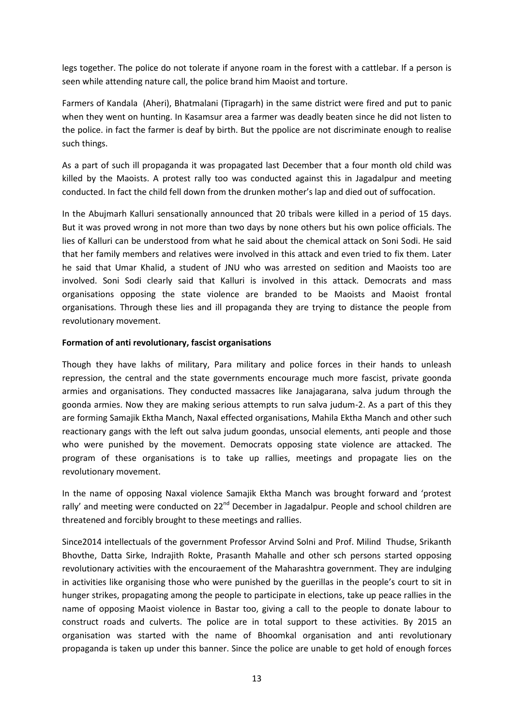legs together. The police do not tolerate if anyone roam in the forest with a cattlebar. If a person is seen while attending nature call, the police brand him Maoist and torture.

Farmers of Kandala (Aheri), Bhatmalani (Tipragarh) in the same district were fired and put to panic when they went on hunting. In Kasamsur area a farmer was deadly beaten since he did not listen to the police. in fact the farmer is deaf by birth. But the ppolice are not discriminate enough to realise such things.

As a part of such ill propaganda it was propagated last December that a four month old child was killed by the Maoists. A protest rally too was conducted against this in Jagadalpur and meeting conducted. In fact the child fell down from the drunken mother's lap and died out of suffocation.

In the Abujmarh Kalluri sensationally announced that 20 tribals were killed in a period of 15 days. But it was proved wrong in not more than two days by none others but his own police officials. The lies of Kalluri can be understood from what he said about the chemical attack on Soni Sodi. He said that her family members and relatives were involved in this attack and even tried to fix them. Later he said that Umar Khalid, a student of JNU who was arrested on sedition and Maoists too are involved. Soni Sodi clearly said that Kalluri is involved in this attack. Democrats and mass organisations opposing the state violence are branded to be Maoists and Maoist frontal organisations. Through these lies and ill propaganda they are trying to distance the people from revolutionary movement.

## **Formation of anti revolutionary, fascist organisations**

Though they have lakhs of military, Para military and police forces in their hands to unleash repression, the central and the state governments encourage much more fascist, private goonda armies and organisations. They conducted massacres like Janajagarana, salva judum through the goonda armies. Now they are making serious attempts to run salva judum-2. As a part of this they are forming Samajik Ektha Manch, Naxal effected organisations, Mahila Ektha Manch and other such reactionary gangs with the left out salva judum goondas, unsocial elements, anti people and those who were punished by the movement. Democrats opposing state violence are attacked. The program of these organisations is to take up rallies, meetings and propagate lies on the revolutionary movement.

In the name of opposing Naxal violence Samajik Ektha Manch was brought forward and 'protest rally' and meeting were conducted on 22<sup>nd</sup> December in Jagadalpur. People and school children are threatened and forcibly brought to these meetings and rallies.

Since2014 intellectuals of the government Professor Arvind Solni and Prof. Milind Thudse, Srikanth Bhovthe, Datta Sirke, Indrajith Rokte, Prasanth Mahalle and other sch persons started opposing revolutionary activities with the encouraement of the Maharashtra government. They are indulging in activities like organising those who were punished by the guerillas in the people's court to sit in hunger strikes, propagating among the people to participate in elections, take up peace rallies in the name of opposing Maoist violence in Bastar too, giving a call to the people to donate labour to construct roads and culverts. The police are in total support to these activities. By 2015 an organisation was started with the name of Bhoomkal organisation and anti revolutionary propaganda is taken up under this banner. Since the police are unable to get hold of enough forces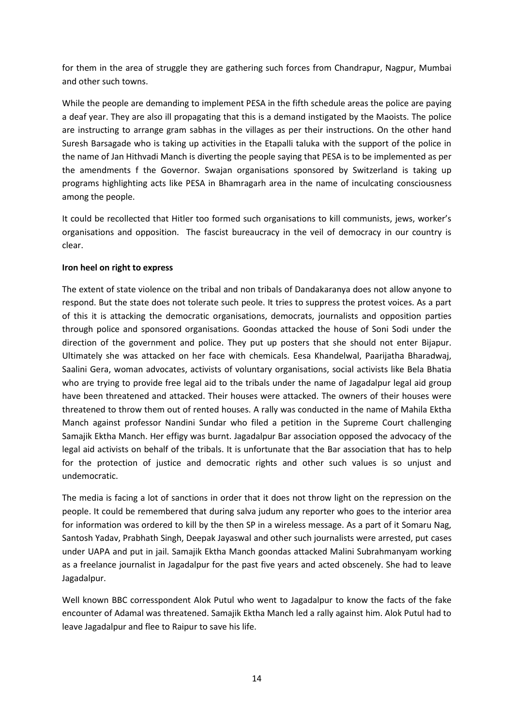for them in the area of struggle they are gathering such forces from Chandrapur, Nagpur, Mumbai and other such towns.

While the people are demanding to implement PESA in the fifth schedule areas the police are paying a deaf year. They are also ill propagating that this is a demand instigated by the Maoists. The police are instructing to arrange gram sabhas in the villages as per their instructions. On the other hand Suresh Barsagade who is taking up activities in the Etapalli taluka with the support of the police in the name of Jan Hithvadi Manch is diverting the people saying that PESA is to be implemented as per the amendments f the Governor. Swajan organisations sponsored by Switzerland is taking up programs highlighting acts like PESA in Bhamragarh area in the name of inculcating consciousness among the people.

It could be recollected that Hitler too formed such organisations to kill communists, jews, worker's organisations and opposition. The fascist bureaucracy in the veil of democracy in our country is clear.

## **Iron heel on right to express**

The extent of state violence on the tribal and non tribals of Dandakaranya does not allow anyone to respond. But the state does not tolerate such peole. It tries to suppress the protest voices. As a part of this it is attacking the democratic organisations, democrats, journalists and opposition parties through police and sponsored organisations. Goondas attacked the house of Soni Sodi under the direction of the government and police. They put up posters that she should not enter Bijapur. Ultimately she was attacked on her face with chemicals. Eesa Khandelwal, Paarijatha Bharadwaj, Saalini Gera, woman advocates, activists of voluntary organisations, social activists like Bela Bhatia who are trying to provide free legal aid to the tribals under the name of Jagadalpur legal aid group have been threatened and attacked. Their houses were attacked. The owners of their houses were threatened to throw them out of rented houses. A rally was conducted in the name of Mahila Ektha Manch against professor Nandini Sundar who filed a petition in the Supreme Court challenging Samajik Ektha Manch. Her effigy was burnt. Jagadalpur Bar association opposed the advocacy of the legal aid activists on behalf of the tribals. It is unfortunate that the Bar association that has to help for the protection of justice and democratic rights and other such values is so unjust and undemocratic.

The media is facing a lot of sanctions in order that it does not throw light on the repression on the people. It could be remembered that during salva judum any reporter who goes to the interior area for information was ordered to kill by the then SP in a wireless message. As a part of it Somaru Nag, Santosh Yadav, Prabhath Singh, Deepak Jayaswal and other such journalists were arrested, put cases under UAPA and put in jail. Samajik Ektha Manch goondas attacked Malini Subrahmanyam working as a freelance journalist in Jagadalpur for the past five years and acted obscenely. She had to leave Jagadalpur.

Well known BBC corresspondent Alok Putul who went to Jagadalpur to know the facts of the fake encounter of Adamal was threatened. Samajik Ektha Manch led a rally against him. Alok Putul had to leave Jagadalpur and flee to Raipur to save his life.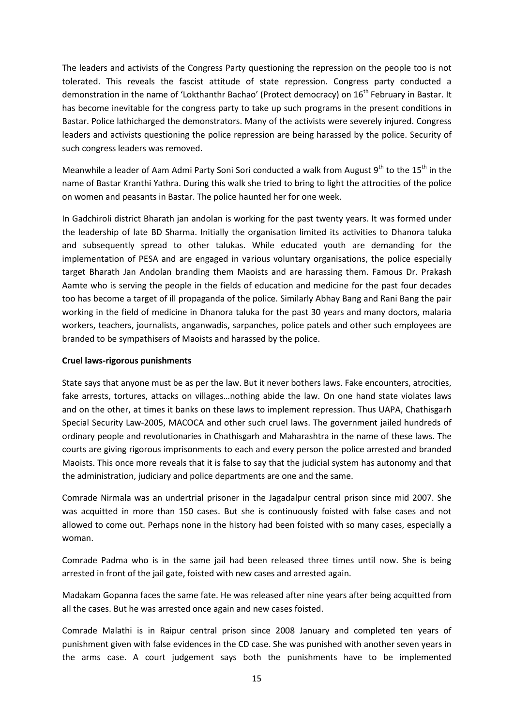The leaders and activists of the Congress Party questioning the repression on the people too is not tolerated. This reveals the fascist attitude of state repression. Congress party conducted a demonstration in the name of 'Lokthanthr Bachao' (Protect democracy) on 16<sup>th</sup> February in Bastar. It has become inevitable for the congress party to take up such programs in the present conditions in Bastar. Police lathicharged the demonstrators. Many of the activists were severely injured. Congress leaders and activists questioning the police repression are being harassed by the police. Security of such congress leaders was removed.

Meanwhile a leader of Aam Admi Party Soni Sori conducted a walk from August  $9^{th}$  to the 15<sup>th</sup> in the name of Bastar Kranthi Yathra. During this walk she tried to bring to light the attrocities of the police on women and peasants in Bastar. The police haunted her for one week.

In Gadchiroli district Bharath jan andolan is working for the past twenty years. It was formed under the leadership of late BD Sharma. Initially the organisation limited its activities to Dhanora taluka and subsequently spread to other talukas. While educated youth are demanding for the implementation of PESA and are engaged in various voluntary organisations, the police especially target Bharath Jan Andolan branding them Maoists and are harassing them. Famous Dr. Prakash Aamte who is serving the people in the fields of education and medicine for the past four decades too has become a target of ill propaganda of the police. Similarly Abhay Bang and Rani Bang the pair working in the field of medicine in Dhanora taluka for the past 30 years and many doctors, malaria workers, teachers, journalists, anganwadis, sarpanches, police patels and other such employees are branded to be sympathisers of Maoists and harassed by the police.

## **Cruel laws-rigorous punishments**

State says that anyone must be as per the law. But it never bothers laws. Fake encounters, atrocities, fake arrests, tortures, attacks on villages…nothing abide the law. On one hand state violates laws and on the other, at times it banks on these laws to implement repression. Thus UAPA, Chathisgarh Special Security Law-2005, MACOCA and other such cruel laws. The government jailed hundreds of ordinary people and revolutionaries in Chathisgarh and Maharashtra in the name of these laws. The courts are giving rigorous imprisonments to each and every person the police arrested and branded Maoists. This once more reveals that it is false to say that the judicial system has autonomy and that the administration, judiciary and police departments are one and the same.

Comrade Nirmala was an undertrial prisoner in the Jagadalpur central prison since mid 2007. She was acquitted in more than 150 cases. But she is continuously foisted with false cases and not allowed to come out. Perhaps none in the history had been foisted with so many cases, especially a woman.

Comrade Padma who is in the same jail had been released three times until now. She is being arrested in front of the jail gate, foisted with new cases and arrested again.

Madakam Gopanna faces the same fate. He was released after nine years after being acquitted from all the cases. But he was arrested once again and new cases foisted.

Comrade Malathi is in Raipur central prison since 2008 January and completed ten years of punishment given with false evidences in the CD case. She was punished with another seven years in the arms case. A court judgement says both the punishments have to be implemented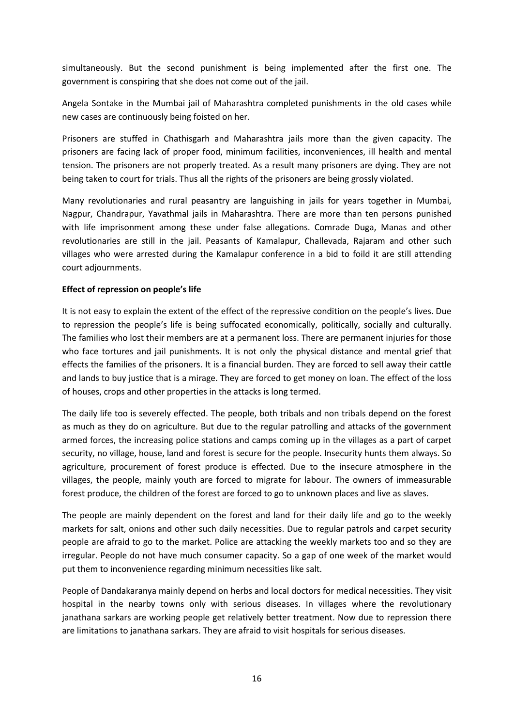simultaneously. But the second punishment is being implemented after the first one. The government is conspiring that she does not come out of the jail.

Angela Sontake in the Mumbai jail of Maharashtra completed punishments in the old cases while new cases are continuously being foisted on her.

Prisoners are stuffed in Chathisgarh and Maharashtra jails more than the given capacity. The prisoners are facing lack of proper food, minimum facilities, inconveniences, ill health and mental tension. The prisoners are not properly treated. As a result many prisoners are dying. They are not being taken to court for trials. Thus all the rights of the prisoners are being grossly violated.

Many revolutionaries and rural peasantry are languishing in jails for years together in Mumbai, Nagpur, Chandrapur, Yavathmal jails in Maharashtra. There are more than ten persons punished with life imprisonment among these under false allegations. Comrade Duga, Manas and other revolutionaries are still in the jail. Peasants of Kamalapur, Challevada, Rajaram and other such villages who were arrested during the Kamalapur conference in a bid to foild it are still attending court adjournments.

## **Effect of repression on people's life**

It is not easy to explain the extent of the effect of the repressive condition on the people's lives. Due to repression the people's life is being suffocated economically, politically, socially and culturally. The families who lost their members are at a permanent loss. There are permanent injuries for those who face tortures and jail punishments. It is not only the physical distance and mental grief that effects the families of the prisoners. It is a financial burden. They are forced to sell away their cattle and lands to buy justice that is a mirage. They are forced to get money on loan. The effect of the loss of houses, crops and other properties in the attacks is long termed.

The daily life too is severely effected. The people, both tribals and non tribals depend on the forest as much as they do on agriculture. But due to the regular patrolling and attacks of the government armed forces, the increasing police stations and camps coming up in the villages as a part of carpet security, no village, house, land and forest is secure for the people. Insecurity hunts them always. So agriculture, procurement of forest produce is effected. Due to the insecure atmosphere in the villages, the people, mainly youth are forced to migrate for labour. The owners of immeasurable forest produce, the children of the forest are forced to go to unknown places and live as slaves.

The people are mainly dependent on the forest and land for their daily life and go to the weekly markets for salt, onions and other such daily necessities. Due to regular patrols and carpet security people are afraid to go to the market. Police are attacking the weekly markets too and so they are irregular. People do not have much consumer capacity. So a gap of one week of the market would put them to inconvenience regarding minimum necessities like salt.

People of Dandakaranya mainly depend on herbs and local doctors for medical necessities. They visit hospital in the nearby towns only with serious diseases. In villages where the revolutionary janathana sarkars are working people get relatively better treatment. Now due to repression there are limitations to janathana sarkars. They are afraid to visit hospitals for serious diseases.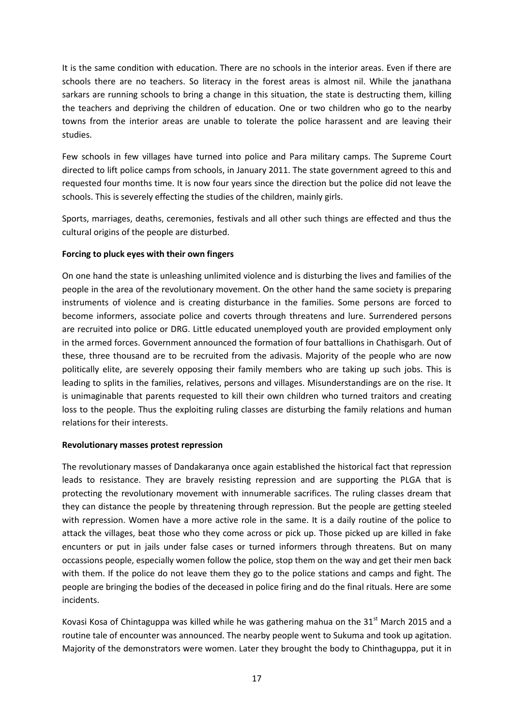It is the same condition with education. There are no schools in the interior areas. Even if there are schools there are no teachers. So literacy in the forest areas is almost nil. While the janathana sarkars are running schools to bring a change in this situation, the state is destructing them, killing the teachers and depriving the children of education. One or two children who go to the nearby towns from the interior areas are unable to tolerate the police harassent and are leaving their studies.

Few schools in few villages have turned into police and Para military camps. The Supreme Court directed to lift police camps from schools, in January 2011. The state government agreed to this and requested four months time. It is now four years since the direction but the police did not leave the schools. This is severely effecting the studies of the children, mainly girls.

Sports, marriages, deaths, ceremonies, festivals and all other such things are effected and thus the cultural origins of the people are disturbed.

# **Forcing to pluck eyes with their own fingers**

On one hand the state is unleashing unlimited violence and is disturbing the lives and families of the people in the area of the revolutionary movement. On the other hand the same society is preparing instruments of violence and is creating disturbance in the families. Some persons are forced to become informers, associate police and coverts through threatens and lure. Surrendered persons are recruited into police or DRG. Little educated unemployed youth are provided employment only in the armed forces. Government announced the formation of four battallions in Chathisgarh. Out of these, three thousand are to be recruited from the adivasis. Majority of the people who are now politically elite, are severely opposing their family members who are taking up such jobs. This is leading to splits in the families, relatives, persons and villages. Misunderstandings are on the rise. It is unimaginable that parents requested to kill their own children who turned traitors and creating loss to the people. Thus the exploiting ruling classes are disturbing the family relations and human relations for their interests.

## **Revolutionary masses protest repression**

The revolutionary masses of Dandakaranya once again established the historical fact that repression leads to resistance. They are bravely resisting repression and are supporting the PLGA that is protecting the revolutionary movement with innumerable sacrifices. The ruling classes dream that they can distance the people by threatening through repression. But the people are getting steeled with repression. Women have a more active role in the same. It is a daily routine of the police to attack the villages, beat those who they come across or pick up. Those picked up are killed in fake encunters or put in jails under false cases or turned informers through threatens. But on many occassions people, especially women follow the police, stop them on the way and get their men back with them. If the police do not leave them they go to the police stations and camps and fight. The people are bringing the bodies of the deceased in police firing and do the final rituals. Here are some incidents.

Kovasi Kosa of Chintaguppa was killed while he was gathering mahua on the  $31<sup>st</sup>$  March 2015 and a routine tale of encounter was announced. The nearby people went to Sukuma and took up agitation. Majority of the demonstrators were women. Later they brought the body to Chinthaguppa, put it in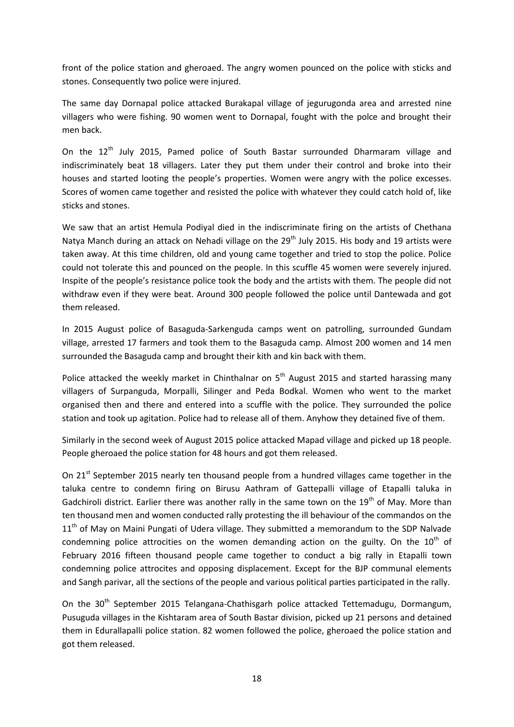front of the police station and gheroaed. The angry women pounced on the police with sticks and stones. Consequently two police were injured.

The same day Dornapal police attacked Burakapal village of jegurugonda area and arrested nine villagers who were fishing. 90 women went to Dornapal, fought with the polce and brought their men back.

On the 12<sup>th</sup> July 2015, Pamed police of South Bastar surrounded Dharmaram village and indiscriminately beat 18 villagers. Later they put them under their control and broke into their houses and started looting the people's properties. Women were angry with the police excesses. Scores of women came together and resisted the police with whatever they could catch hold of, like sticks and stones.

We saw that an artist Hemula Podiyal died in the indiscriminate firing on the artists of Chethana Natya Manch during an attack on Nehadi village on the 29<sup>th</sup> July 2015. His body and 19 artists were taken away. At this time children, old and young came together and tried to stop the police. Police could not tolerate this and pounced on the people. In this scuffle 45 women were severely injured. Inspite of the people's resistance police took the body and the artists with them. The people did not withdraw even if they were beat. Around 300 people followed the police until Dantewada and got them released.

In 2015 August police of Basaguda-Sarkenguda camps went on patrolling, surrounded Gundam village, arrested 17 farmers and took them to the Basaguda camp. Almost 200 women and 14 men surrounded the Basaguda camp and brought their kith and kin back with them.

Police attacked the weekly market in Chinthalnar on  $5<sup>th</sup>$  August 2015 and started harassing many villagers of Surpanguda, Morpalli, Silinger and Peda Bodkal. Women who went to the market organised then and there and entered into a scuffle with the police. They surrounded the police station and took up agitation. Police had to release all of them. Anyhow they detained five of them.

Similarly in the second week of August 2015 police attacked Mapad village and picked up 18 people. People gheroaed the police station for 48 hours and got them released.

On 21<sup>st</sup> September 2015 nearly ten thousand people from a hundred villages came together in the taluka centre to condemn firing on Birusu Aathram of Gattepalli village of Etapalli taluka in Gadchiroli district. Earlier there was another rally in the same town on the 19<sup>th</sup> of May. More than ten thousand men and women conducted rally protesting the ill behaviour of the commandos on the  $11<sup>th</sup>$  of May on Maini Pungati of Udera village. They submitted a memorandum to the SDP Nalvade condemning police attrocities on the women demanding action on the guilty. On the  $10^{th}$  of February 2016 fifteen thousand people came together to conduct a big rally in Etapalli town condemning police attrocites and opposing displacement. Except for the BJP communal elements and Sangh parivar, all the sections of the people and various political parties participated in the rally.

On the 30<sup>th</sup> September 2015 Telangana-Chathisgarh police attacked Tettemadugu, Dormangum, Pusuguda villages in the Kishtaram area of South Bastar division, picked up 21 persons and detained them in Edurallapalli police station. 82 women followed the police, gheroaed the police station and got them released.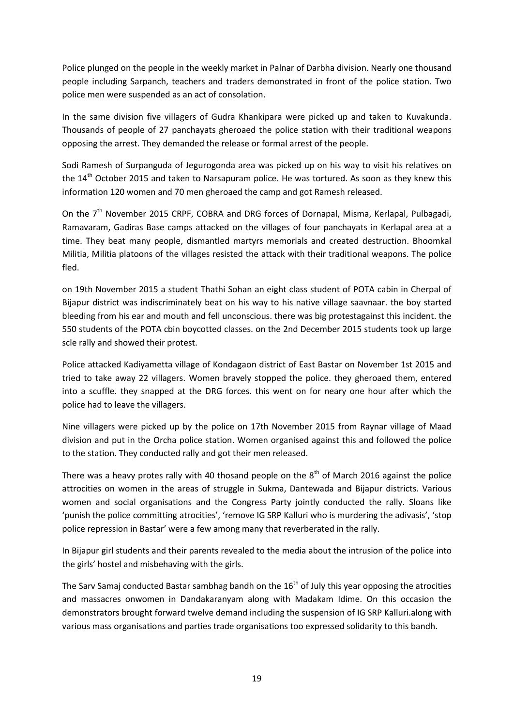Police plunged on the people in the weekly market in Palnar of Darbha division. Nearly one thousand people including Sarpanch, teachers and traders demonstrated in front of the police station. Two police men were suspended as an act of consolation.

In the same division five villagers of Gudra Khankipara were picked up and taken to Kuvakunda. Thousands of people of 27 panchayats gheroaed the police station with their traditional weapons opposing the arrest. They demanded the release or formal arrest of the people.

Sodi Ramesh of Surpanguda of Jegurogonda area was picked up on his way to visit his relatives on the 14<sup>th</sup> October 2015 and taken to Narsapuram police. He was tortured. As soon as they knew this information 120 women and 70 men gheroaed the camp and got Ramesh released.

On the 7<sup>th</sup> November 2015 CRPF, COBRA and DRG forces of Dornapal, Misma, Kerlapal, Pulbagadi, Ramavaram, Gadiras Base camps attacked on the villages of four panchayats in Kerlapal area at a time. They beat many people, dismantled martyrs memorials and created destruction. Bhoomkal Militia, Militia platoons of the villages resisted the attack with their traditional weapons. The police fled.

on 19th November 2015 a student Thathi Sohan an eight class student of POTA cabin in Cherpal of Bijapur district was indiscriminately beat on his way to his native village saavnaar. the boy started bleeding from his ear and mouth and fell unconscious. there was big protestagainst this incident. the 550 students of the POTA cbin boycotted classes. on the 2nd December 2015 students took up large scle rally and showed their protest.

Police attacked Kadiyametta village of Kondagaon district of East Bastar on November 1st 2015 and tried to take away 22 villagers. Women bravely stopped the police. they gheroaed them, entered into a scuffle. they snapped at the DRG forces. this went on for neary one hour after which the police had to leave the villagers.

Nine villagers were picked up by the police on 17th November 2015 from Raynar village of Maad division and put in the Orcha police station. Women organised against this and followed the police to the station. They conducted rally and got their men released.

There was a heavy protes rally with 40 thosand people on the  $8<sup>th</sup>$  of March 2016 against the police attrocities on women in the areas of struggle in Sukma, Dantewada and Bijapur districts. Various women and social organisations and the Congress Party jointly conducted the rally. Sloans like 'punish the police committing atrocities', 'remove IG SRP Kalluri who is murdering the adivasis', 'stop police repression in Bastar' were a few among many that reverberated in the rally.

In Bijapur girl students and their parents revealed to the media about the intrusion of the police into the girls' hostel and misbehaving with the girls.

The Sarv Samaj conducted Bastar sambhag bandh on the  $16<sup>th</sup>$  of July this year opposing the atrocities and massacres onwomen in Dandakaranyam along with Madakam Idime. On this occasion the demonstrators brought forward twelve demand including the suspension of IG SRP Kalluri.along with various mass organisations and parties trade organisations too expressed solidarity to this bandh.